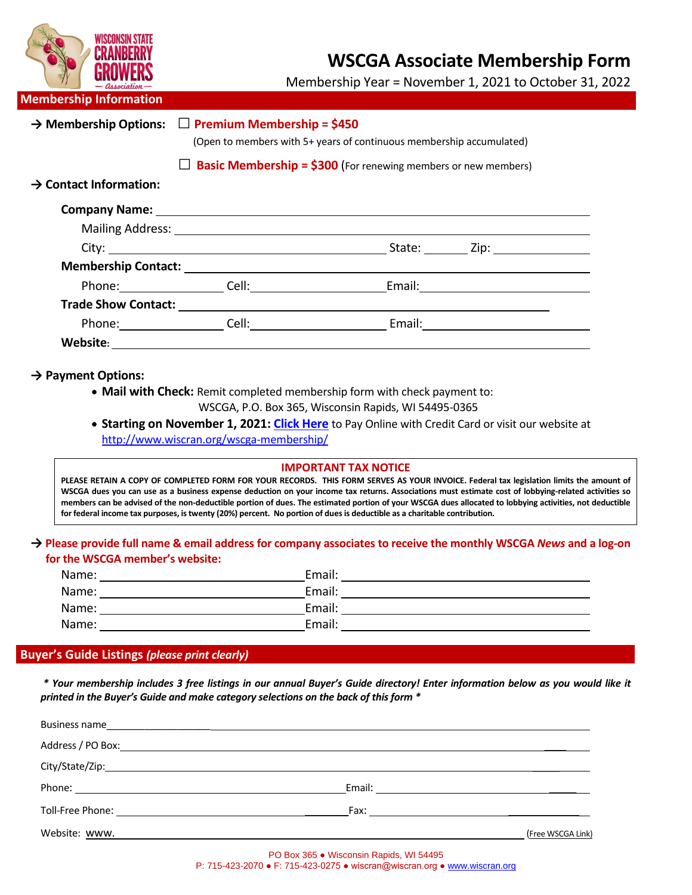| INCII                              |                                                                                                           |                                                                                                                                                                                                                                | <b>WSCGA Associate Membership Form</b><br>Membership Year = November 1, 2021 to October 31, 2022 |
|------------------------------------|-----------------------------------------------------------------------------------------------------------|--------------------------------------------------------------------------------------------------------------------------------------------------------------------------------------------------------------------------------|--------------------------------------------------------------------------------------------------|
| <b>Membership Information</b>      |                                                                                                           |                                                                                                                                                                                                                                |                                                                                                  |
| $\rightarrow$ Membership Options:  | $\Box$ Premium Membership = \$450<br>(Open to members with 5+ years of continuous membership accumulated) |                                                                                                                                                                                                                                |                                                                                                  |
|                                    |                                                                                                           | <b>Basic Membership = <math>\$300</math></b> (For renewing members or new members)                                                                                                                                             |                                                                                                  |
| $\rightarrow$ Contact Information: |                                                                                                           |                                                                                                                                                                                                                                |                                                                                                  |
|                                    |                                                                                                           |                                                                                                                                                                                                                                |                                                                                                  |
|                                    |                                                                                                           |                                                                                                                                                                                                                                |                                                                                                  |
|                                    |                                                                                                           |                                                                                                                                                                                                                                |                                                                                                  |
|                                    |                                                                                                           |                                                                                                                                                                                                                                |                                                                                                  |
|                                    |                                                                                                           | Phone: Cell: Cell: Cell: Email: Cell: Cell: Cell: Cell: Cell: Cell: Cell: Cell: Cell: Cell: Cell: Cell: Cell: Cell: Cell: Cell: Cell: Cell: Cell: Cell: Cell: Cell: Cell: Cell: Cell: Cell: Cell: Cell: Cell: Cell: Cell: Cell |                                                                                                  |
|                                    |                                                                                                           |                                                                                                                                                                                                                                |                                                                                                  |
|                                    |                                                                                                           |                                                                                                                                                                                                                                |                                                                                                  |
|                                    |                                                                                                           |                                                                                                                                                                                                                                |                                                                                                  |

**→ Payment Options:**

• **Mail with Check:** Remit completed membership form with check payment to:

WSCGA, P.O. Box 365, Wisconsin Rapids, WI 54495-0365

• **Starting on November 1, 2021: [Click Here](https://square.link/u/vuaKFw8W)** to Pay Online with Credit Card or visit our website at <http://www.wiscran.org/wscga-membership/>

## **IMPORTANT TAX NOTICE**

PLEASE RETAIN A COPY OF COMPLETED FORM FOR YOUR RECORDS. THIS FORM SERVES AS YOUR INVOICE. Federal tax legislation limits the amount of **WSCGA dues you can use as a business expense deduction on your income tax returns. Associations must estimate cost of lobbying-related activities so members can be advised of the non-deductible portion of dues. The estimated portion of your WSCGA dues allocated to lobbying activities, not deductible for federal income tax purposes, is twenty (20%) percent. No portion of dues is deductible as a charitable contribution.** 

## **→ Please provide full name & email address for company associates to receive the monthly WSCGA** *News* **and a log-on for the WSCGA member's website:**

| Name: | Email: |
|-------|--------|
| Name: | Email: |
| Name: | Email: |
| Name: | Email: |

## **Buyer's Guide Listings** *(please print clearly)*

*\* Your membership includes 3 free listings in our annual Buyer's Guide directory! Enter information below as you would like it printed in the Buyer's Guide and make category selections on the back of this form \**

| Phone: Note: 2008 and 2008 and 2008 and 2008 and 2008 and 2008 and 2008 and 2008 and 2008 and 2008 and 2008 and 2008 and 2008 and 2008 and 2008 and 2008 and 2008 and 2008 and 2008 and 2008 and 2008 and 2008 and 2008 and 20 |                   |
|--------------------------------------------------------------------------------------------------------------------------------------------------------------------------------------------------------------------------------|-------------------|
|                                                                                                                                                                                                                                |                   |
| Website: www.                                                                                                                                                                                                                  | (Free WSCGA Link) |